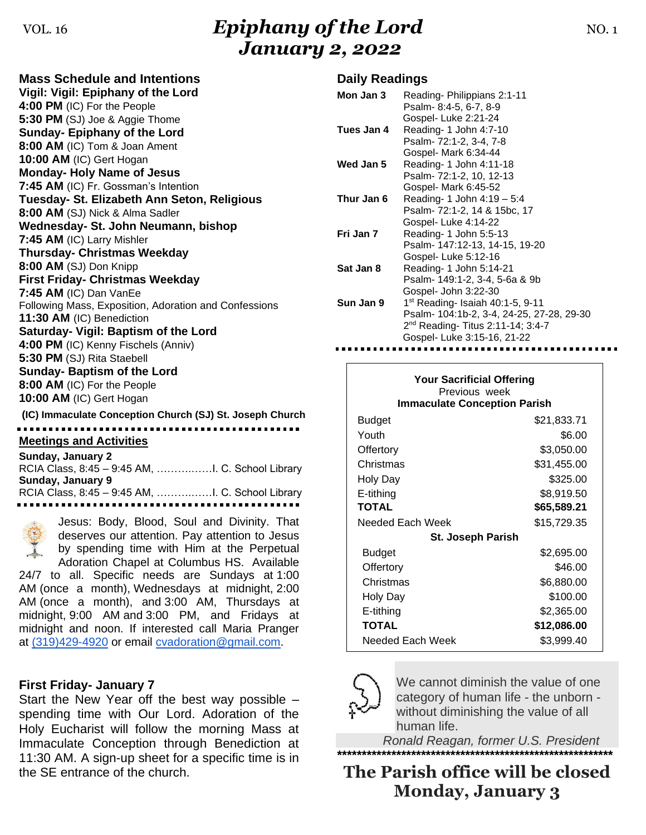# VOL. 16 *Epiphany of the Lord* NO. 1 *January 2, 2022*

| <b>Mass Schedule and Intentions</b>                      |
|----------------------------------------------------------|
| Vigil: Vigil: Epiphany of the Lord                       |
| 4:00 PM (IC) For the People                              |
| 5:30 PM (SJ) Joe & Aggie Thome                           |
| <b>Sunday- Epiphany of the Lord</b>                      |
| 8:00 AM (IC) Tom & Joan Ament                            |
| 10:00 AM (IC) Gert Hogan                                 |
| <b>Monday- Holy Name of Jesus</b>                        |
| 7:45 AM (IC) Fr. Gossman's Intention                     |
| Tuesday- St. Elizabeth Ann Seton, Religious              |
| 8:00 AM (SJ) Nick & Alma Sadler                          |
| Wednesday- St. John Neumann, bishop                      |
| 7:45 AM (IC) Larry Mishler                               |
| <b>Thursday- Christmas Weekday</b>                       |
| 8:00 AM (SJ) Don Knipp                                   |
| <b>First Friday- Christmas Weekday</b>                   |
| 7:45 AM (IC) Dan VanEe                                   |
| Following Mass, Exposition, Adoration and Confessions    |
| 11:30 AM (IC) Benediction                                |
| Saturday- Vigil: Baptism of the Lord                     |
| 4:00 PM (IC) Kenny Fischels (Anniv)                      |
| 5:30 PM (SJ) Rita Staebell                               |
| <b>Sunday- Baptism of the Lord</b>                       |
| 8:00 AM (IC) For the People                              |
| 10:00 AM (IC) Gert Hogan                                 |
| (IC) Immaculate Conception Church (SJ) St. Joseph Church |
|                                                          |

#### **Meetings and Activities**

| Sunday, January 2 |  |
|-------------------|--|
|                   |  |
| Sunday, January 9 |  |
|                   |  |
| .                 |  |

Jesus: Body, Blood, Soul and Divinity. That deserves our attention. Pay attention to Jesus by spending time with Him at the Perpetual Adoration Chapel at Columbus HS. Available 24/7 to all. Specific needs are Sundays at 1:00 AM (once a month), Wednesdays at midnight, 2:00 AM (once a month), and 3:00 AM, Thursdays at midnight, 9:00 AM and 3:00 PM, and Fridays at midnight and noon. If interested call Maria Pranger at [\(319\)429-4920](tel:(319)429-4920) or email [cvadoration@gmail.com.](mailto:cvadoration@gmail.com)

### **First Friday- January 7**

Start the New Year off the best way possible – spending time with Our Lord. Adoration of the Holy Eucharist will follow the morning Mass at Immaculate Conception through Benediction at 11:30 AM. A sign-up sheet for a specific time is in the SE entrance of the church.

### **Daily Readings**

| Mon Jan 3<br>Reading-Philippians 2:1-11<br>Psalm- 8:4-5, 6-7, 8-9<br>Gospel-Luke 2:21-24<br>Tues Jan 4<br>Reading- 1 John 4:7-10<br>Psalm- 72:1-2, 3-4, 7-8<br>Gospel- Mark 6:34-44<br>Wed Jan 5<br>Reading- 1 John 4:11-18<br>Psalm- 72:1-2, 10, 12-13<br>Gospel- Mark 6:45-52<br>Thur Jan 6<br>Reading- 1 John 4:19 - 5:4<br>Psalm- 72:1-2, 14 & 15bc, 17<br>Gospel-Luke 4:14-22<br>Fri Jan 7<br>Reading- 1 John 5:5-13<br>Psalm- 147:12-13, 14-15, 19-20<br>Gospel-Luke 5:12-16<br>Sat Jan 8<br>Reading- 1 John 5:14-21<br>Psalm- 149:1-2, 3-4, 5-6a & 9b<br>Gospel- John 3:22-30<br>Sun Jan 9<br>$1st$ Reading- Isaiah 40:1-5, 9-11<br>Psalm- 104:1b-2, 3-4, 24-25, 27-28, 29-30<br>2 <sup>nd</sup> Reading- Titus 2:11-14; 3:4-7<br>Gospel- Luke 3:15-16, 21-22 |  |
|----------------------------------------------------------------------------------------------------------------------------------------------------------------------------------------------------------------------------------------------------------------------------------------------------------------------------------------------------------------------------------------------------------------------------------------------------------------------------------------------------------------------------------------------------------------------------------------------------------------------------------------------------------------------------------------------------------------------------------------------------------------------|--|
|                                                                                                                                                                                                                                                                                                                                                                                                                                                                                                                                                                                                                                                                                                                                                                      |  |
|                                                                                                                                                                                                                                                                                                                                                                                                                                                                                                                                                                                                                                                                                                                                                                      |  |
|                                                                                                                                                                                                                                                                                                                                                                                                                                                                                                                                                                                                                                                                                                                                                                      |  |
|                                                                                                                                                                                                                                                                                                                                                                                                                                                                                                                                                                                                                                                                                                                                                                      |  |
|                                                                                                                                                                                                                                                                                                                                                                                                                                                                                                                                                                                                                                                                                                                                                                      |  |
|                                                                                                                                                                                                                                                                                                                                                                                                                                                                                                                                                                                                                                                                                                                                                                      |  |
|                                                                                                                                                                                                                                                                                                                                                                                                                                                                                                                                                                                                                                                                                                                                                                      |  |
|                                                                                                                                                                                                                                                                                                                                                                                                                                                                                                                                                                                                                                                                                                                                                                      |  |
|                                                                                                                                                                                                                                                                                                                                                                                                                                                                                                                                                                                                                                                                                                                                                                      |  |
|                                                                                                                                                                                                                                                                                                                                                                                                                                                                                                                                                                                                                                                                                                                                                                      |  |
|                                                                                                                                                                                                                                                                                                                                                                                                                                                                                                                                                                                                                                                                                                                                                                      |  |
|                                                                                                                                                                                                                                                                                                                                                                                                                                                                                                                                                                                                                                                                                                                                                                      |  |
|                                                                                                                                                                                                                                                                                                                                                                                                                                                                                                                                                                                                                                                                                                                                                                      |  |
|                                                                                                                                                                                                                                                                                                                                                                                                                                                                                                                                                                                                                                                                                                                                                                      |  |
|                                                                                                                                                                                                                                                                                                                                                                                                                                                                                                                                                                                                                                                                                                                                                                      |  |
|                                                                                                                                                                                                                                                                                                                                                                                                                                                                                                                                                                                                                                                                                                                                                                      |  |
|                                                                                                                                                                                                                                                                                                                                                                                                                                                                                                                                                                                                                                                                                                                                                                      |  |
|                                                                                                                                                                                                                                                                                                                                                                                                                                                                                                                                                                                                                                                                                                                                                                      |  |
|                                                                                                                                                                                                                                                                                                                                                                                                                                                                                                                                                                                                                                                                                                                                                                      |  |
|                                                                                                                                                                                                                                                                                                                                                                                                                                                                                                                                                                                                                                                                                                                                                                      |  |
|                                                                                                                                                                                                                                                                                                                                                                                                                                                                                                                                                                                                                                                                                                                                                                      |  |
|                                                                                                                                                                                                                                                                                                                                                                                                                                                                                                                                                                                                                                                                                                                                                                      |  |

| <b>Your Sacrificial Offering</b><br>Previous week<br><b>Immaculate Conception Parish</b> |             |  |  |
|------------------------------------------------------------------------------------------|-------------|--|--|
| <b>Budget</b>                                                                            | \$21,833.71 |  |  |
| Youth                                                                                    | \$6.00      |  |  |
| Offertory                                                                                | \$3,050.00  |  |  |
| Christmas                                                                                | \$31,455.00 |  |  |
| Holy Day                                                                                 | \$325.00    |  |  |
| E-tithing                                                                                | \$8,919.50  |  |  |
| <b>TOTAL</b>                                                                             | \$65,589.21 |  |  |
| Needed Each Week                                                                         | \$15,729.35 |  |  |
| <b>St. Joseph Parish</b>                                                                 |             |  |  |
| Budget                                                                                   | \$2,695.00  |  |  |
| Offertory                                                                                | \$46.00     |  |  |
| Christmas                                                                                | \$6,880.00  |  |  |
| Holy Day                                                                                 | \$100.00    |  |  |
| E-tithing                                                                                | \$2,365.00  |  |  |
| <b>TOTAL</b>                                                                             | \$12,086.00 |  |  |
| Needed Each Week                                                                         | \$3,999.40  |  |  |



We cannot diminish the value of one category of human life - the unborn without diminishing the value of all human life.

 *Ronald Reagan, former U.S. President* **\*\*\*\*\*\*\*\*\*\*\*\*\*\*\*\*\*\*\*\*\*\*\*\*\*\*\*\*\*\*\*\*\*\*\*\*\*\*\*\*\*\*\*\*\*\*\*\*\*\*\*\*\*\*\*\***

**The Parish office will be closed Monday, January 3**